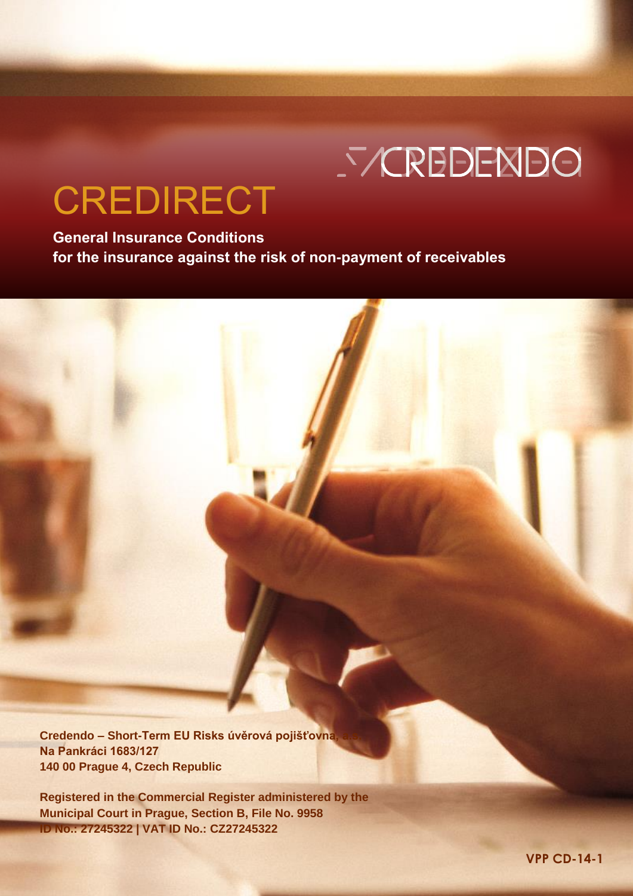# **SYCREDENDO**

## CREDIRECT

**General Insurance Conditions for the insurance against the risk of non-payment of receivables**

**Credendo – Short-Term EU Risks úvěrová pojišťovna, a.s. Na Pankráci 1683/127 140 00 Prague 4, Czech Republic** 

CREDIRECT – General Insurance Conditions VPP CD-14-1  **1 Registered in the Commercial Register administered by the Municipal Court in Prague, Section B, File No. 9958 ID No.: 27245322 | VAT ID No.: CZ27245322**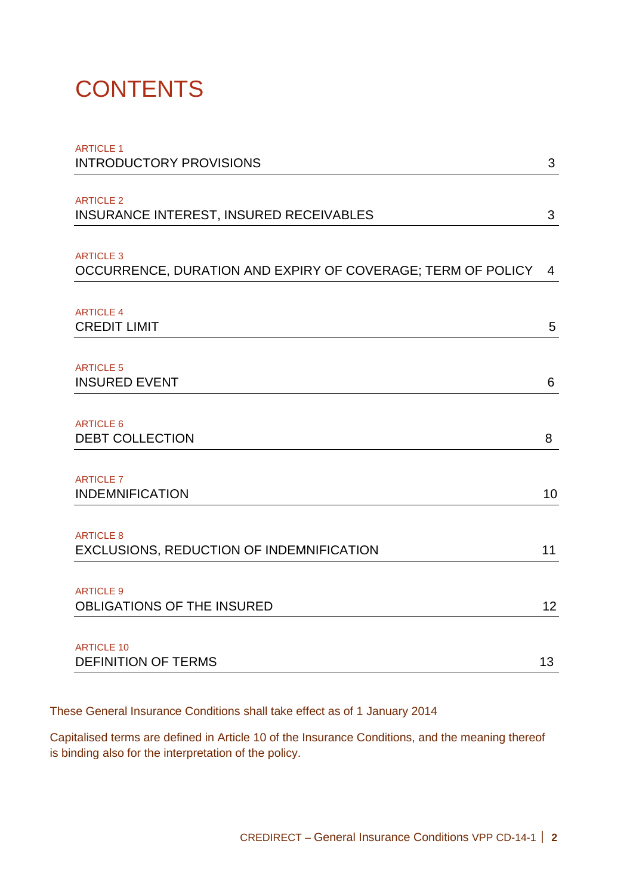## **CONTENTS**

| <b>ARTICLE 1</b><br><b>INTRODUCTORY PROVISIONS</b>          | 3              |
|-------------------------------------------------------------|----------------|
|                                                             |                |
| <b>ARTICLE 2</b><br>INSURANCE INTEREST, INSURED RECEIVABLES | 3              |
|                                                             |                |
| <b>ARTICLE 3</b>                                            |                |
| OCCURRENCE, DURATION AND EXPIRY OF COVERAGE; TERM OF POLICY | $\overline{4}$ |
|                                                             |                |
| <b>ARTICLE 4</b><br><b>CREDIT LIMIT</b>                     | 5              |
|                                                             |                |
| <b>ARTICLE 5</b>                                            |                |
| <b>INSURED EVENT</b>                                        | 6              |
| <b>ARTICLE 6</b>                                            |                |
| <b>DEBT COLLECTION</b>                                      | 8              |
|                                                             |                |
| <b>ARTICLE 7</b><br><b>INDEMNIFICATION</b>                  | 10             |
|                                                             |                |
| <b>ARTICLE 8</b>                                            |                |
| EXCLUSIONS, REDUCTION OF INDEMNIFICATION                    | 11             |
| <b>ARTICLE 9</b>                                            |                |
| OBLIGATIONS OF THE INSURED                                  | 12             |
|                                                             |                |
| <b>ARTICLE 10</b><br><b>DEFINITION OF TERMS</b>             | 13             |
|                                                             |                |

These General Insurance Conditions shall take effect as of 1 January 2014

Capitalised terms are defined in Article 10 of the Insurance Conditions, and the meaning thereof is binding also for the interpretation of the policy.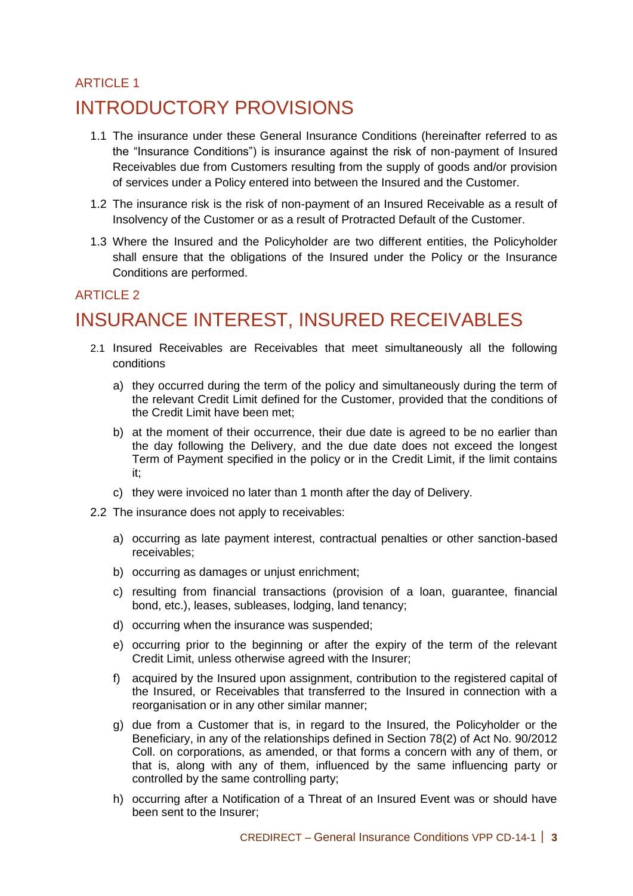## **ARTICLE 1** INTRODUCTORY PROVISIONS

- 1.1 The insurance under these General Insurance Conditions (hereinafter referred to as the "Insurance Conditions") is insurance against the risk of non-payment of Insured Receivables due from Customers resulting from the supply of goods and/or provision of services under a Policy entered into between the Insured and the Customer.
- 1.2 The insurance risk is the risk of non-payment of an Insured Receivable as a result of Insolvency of the Customer or as a result of Protracted Default of the Customer.
- 1.3 Where the Insured and the Policyholder are two different entities, the Policyholder shall ensure that the obligations of the Insured under the Policy or the Insurance Conditions are performed.

#### ARTICLE 2

## INSURANCE INTEREST, INSURED RECEIVABLES

- 2.1 Insured Receivables are Receivables that meet simultaneously all the following conditions
	- a) they occurred during the term of the policy and simultaneously during the term of the relevant Credit Limit defined for the Customer, provided that the conditions of the Credit Limit have been met;
	- b) at the moment of their occurrence, their due date is agreed to be no earlier than the day following the Delivery, and the due date does not exceed the longest Term of Payment specified in the policy or in the Credit Limit, if the limit contains it;
	- c) they were invoiced no later than 1 month after the day of Delivery.
- 2.2 The insurance does not apply to receivables:
	- a) occurring as late payment interest, contractual penalties or other sanction-based receivables;
	- b) occurring as damages or unjust enrichment;
	- c) resulting from financial transactions (provision of a loan, guarantee, financial bond, etc.), leases, subleases, lodging, land tenancy;
	- d) occurring when the insurance was suspended;
	- e) occurring prior to the beginning or after the expiry of the term of the relevant Credit Limit, unless otherwise agreed with the Insurer;
	- f) acquired by the Insured upon assignment, contribution to the registered capital of the Insured, or Receivables that transferred to the Insured in connection with a reorganisation or in any other similar manner;
	- g) due from a Customer that is, in regard to the Insured, the Policyholder or the Beneficiary, in any of the relationships defined in Section 78(2) of Act No. 90/2012 Coll. on corporations, as amended, or that forms a concern with any of them, or that is, along with any of them, influenced by the same influencing party or controlled by the same controlling party;
	- h) occurring after a Notification of a Threat of an Insured Event was or should have been sent to the Insurer;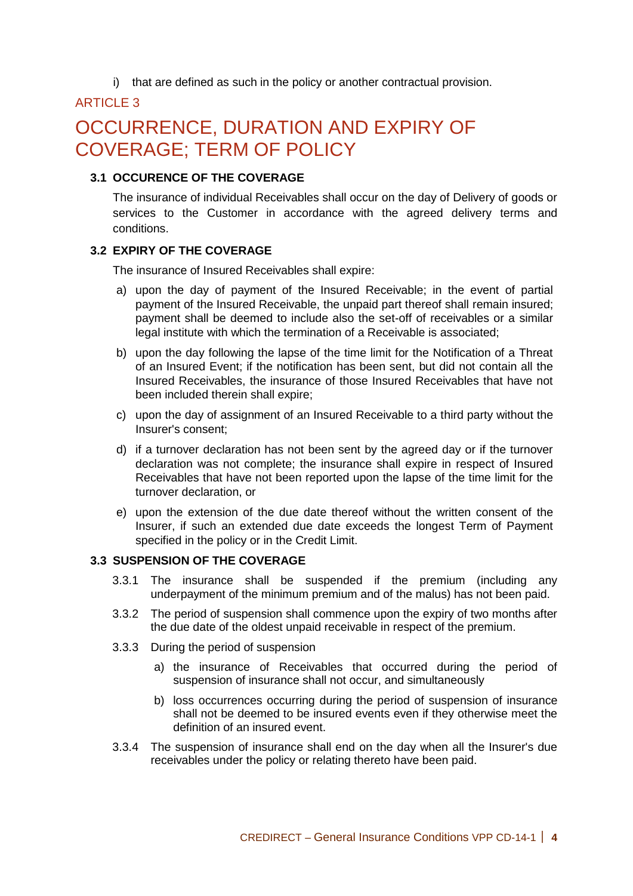i) that are defined as such in the policy or another contractual provision.

#### **ARTICLE 3**

## OCCURRENCE, DURATION AND EXPIRY OF COVERAGE; TERM OF POLICY

#### **3.1 OCCURENCE OF THE COVERAGE**

The insurance of individual Receivables shall occur on the day of Delivery of goods or services to the Customer in accordance with the agreed delivery terms and conditions.

#### **3.2 EXPIRY OF THE COVERAGE**

The insurance of Insured Receivables shall expire:

- a) upon the day of payment of the Insured Receivable; in the event of partial payment of the Insured Receivable, the unpaid part thereof shall remain insured; payment shall be deemed to include also the set-off of receivables or a similar legal institute with which the termination of a Receivable is associated;
- b) upon the day following the lapse of the time limit for the Notification of a Threat of an Insured Event; if the notification has been sent, but did not contain all the Insured Receivables, the insurance of those Insured Receivables that have not been included therein shall expire;
- c) upon the day of assignment of an Insured Receivable to a third party without the Insurer's consent;
- d) if a turnover declaration has not been sent by the agreed day or if the turnover declaration was not complete; the insurance shall expire in respect of Insured Receivables that have not been reported upon the lapse of the time limit for the turnover declaration, or
- e) upon the extension of the due date thereof without the written consent of the Insurer, if such an extended due date exceeds the longest Term of Payment specified in the policy or in the Credit Limit.

#### **3.3 SUSPENSION OF THE COVERAGE**

- 3.3.1 The insurance shall be suspended if the premium (including any underpayment of the minimum premium and of the malus) has not been paid.
- 3.3.2 The period of suspension shall commence upon the expiry of two months after the due date of the oldest unpaid receivable in respect of the premium.
- 3.3.3 During the period of suspension
	- a) the insurance of Receivables that occurred during the period of suspension of insurance shall not occur, and simultaneously
	- b) loss occurrences occurring during the period of suspension of insurance shall not be deemed to be insured events even if they otherwise meet the definition of an insured event.
- 3.3.4 The suspension of insurance shall end on the day when all the Insurer's due receivables under the policy or relating thereto have been paid.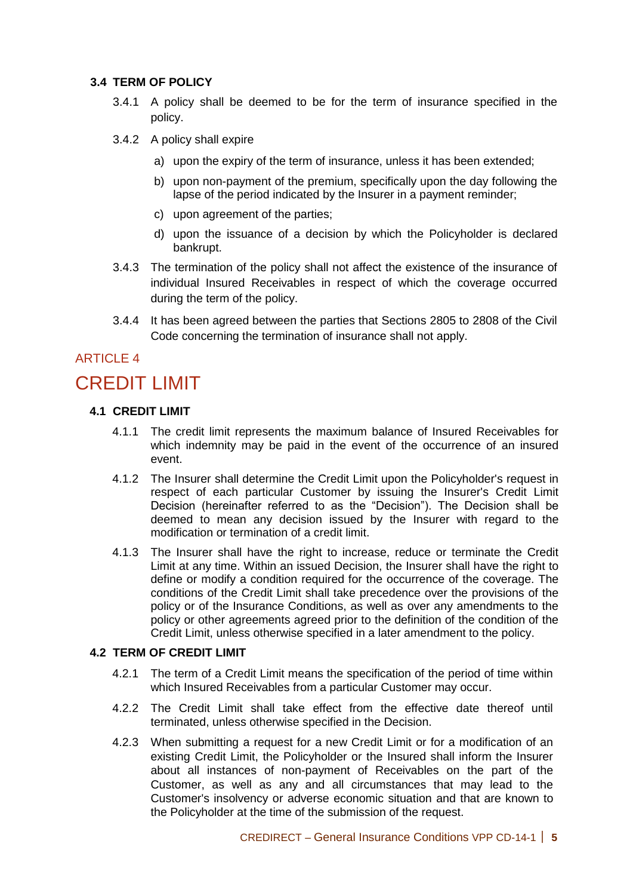#### **3.4 TERM OF POLICY**

- 3.4.1 A policy shall be deemed to be for the term of insurance specified in the policy.
- 3.4.2 A policy shall expire
	- a) upon the expiry of the term of insurance, unless it has been extended;
	- b) upon non-payment of the premium, specifically upon the day following the lapse of the period indicated by the Insurer in a payment reminder;
	- c) upon agreement of the parties;
	- d) upon the issuance of a decision by which the Policyholder is declared bankrupt.
- 3.4.3 The termination of the policy shall not affect the existence of the insurance of individual Insured Receivables in respect of which the coverage occurred during the term of the policy.
- 3.4.4 It has been agreed between the parties that Sections 2805 to 2808 of the Civil Code concerning the termination of insurance shall not apply.

#### **ARTICLE 4**

## CREDIT LIMIT

#### **4.1 CREDIT LIMIT**

- 4.1.1 The credit limit represents the maximum balance of Insured Receivables for which indemnity may be paid in the event of the occurrence of an insured event.
- 4.1.2 The Insurer shall determine the Credit Limit upon the Policyholder's request in respect of each particular Customer by issuing the Insurer's Credit Limit Decision (hereinafter referred to as the "Decision"). The Decision shall be deemed to mean any decision issued by the Insurer with regard to the modification or termination of a credit limit.
- 4.1.3 The Insurer shall have the right to increase, reduce or terminate the Credit Limit at any time. Within an issued Decision, the Insurer shall have the right to define or modify a condition required for the occurrence of the coverage. The conditions of the Credit Limit shall take precedence over the provisions of the policy or of the Insurance Conditions, as well as over any amendments to the policy or other agreements agreed prior to the definition of the condition of the Credit Limit, unless otherwise specified in a later amendment to the policy.

#### **4.2 TERM OF CREDIT LIMIT**

- 4.2.1 The term of a Credit Limit means the specification of the period of time within which Insured Receivables from a particular Customer may occur.
- 4.2.2 The Credit Limit shall take effect from the effective date thereof until terminated, unless otherwise specified in the Decision.
- 4.2.3 When submitting a request for a new Credit Limit or for a modification of an existing Credit Limit, the Policyholder or the Insured shall inform the Insurer about all instances of non-payment of Receivables on the part of the Customer, as well as any and all circumstances that may lead to the Customer's insolvency or adverse economic situation and that are known to the Policyholder at the time of the submission of the request.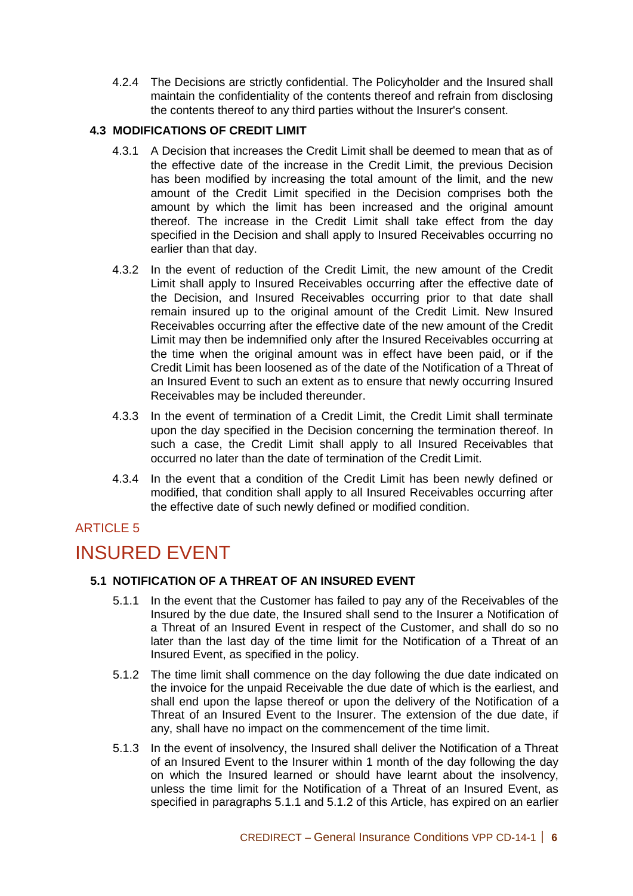4.2.4 The Decisions are strictly confidential. The Policyholder and the Insured shall maintain the confidentiality of the contents thereof and refrain from disclosing the contents thereof to any third parties without the Insurer's consent.

#### **4.3 MODIFICATIONS OF CREDIT LIMIT**

- 4.3.1 A Decision that increases the Credit Limit shall be deemed to mean that as of the effective date of the increase in the Credit Limit, the previous Decision has been modified by increasing the total amount of the limit, and the new amount of the Credit Limit specified in the Decision comprises both the amount by which the limit has been increased and the original amount thereof. The increase in the Credit Limit shall take effect from the day specified in the Decision and shall apply to Insured Receivables occurring no earlier than that day.
- 4.3.2 In the event of reduction of the Credit Limit, the new amount of the Credit Limit shall apply to Insured Receivables occurring after the effective date of the Decision, and Insured Receivables occurring prior to that date shall remain insured up to the original amount of the Credit Limit. New Insured Receivables occurring after the effective date of the new amount of the Credit Limit may then be indemnified only after the Insured Receivables occurring at the time when the original amount was in effect have been paid, or if the Credit Limit has been loosened as of the date of the Notification of a Threat of an Insured Event to such an extent as to ensure that newly occurring Insured Receivables may be included thereunder.
- 4.3.3 In the event of termination of a Credit Limit, the Credit Limit shall terminate upon the day specified in the Decision concerning the termination thereof. In such a case, the Credit Limit shall apply to all Insured Receivables that occurred no later than the date of termination of the Credit Limit.
- 4.3.4 In the event that a condition of the Credit Limit has been newly defined or modified, that condition shall apply to all Insured Receivables occurring after the effective date of such newly defined or modified condition.

#### ARTICLE 5

## INSURED EVENT

#### **5.1 NOTIFICATION OF A THREAT OF AN INSURED EVENT**

- 5.1.1 In the event that the Customer has failed to pay any of the Receivables of the Insured by the due date, the Insured shall send to the Insurer a Notification of a Threat of an Insured Event in respect of the Customer, and shall do so no later than the last day of the time limit for the Notification of a Threat of an Insured Event, as specified in the policy.
- 5.1.2 The time limit shall commence on the day following the due date indicated on the invoice for the unpaid Receivable the due date of which is the earliest, and shall end upon the lapse thereof or upon the delivery of the Notification of a Threat of an Insured Event to the Insurer. The extension of the due date, if any, shall have no impact on the commencement of the time limit.
- 5.1.3 In the event of insolvency, the Insured shall deliver the Notification of a Threat of an Insured Event to the Insurer within 1 month of the day following the day on which the Insured learned or should have learnt about the insolvency, unless the time limit for the Notification of a Threat of an Insured Event, as specified in paragraphs 5.1.1 and 5.1.2 of this Article, has expired on an earlier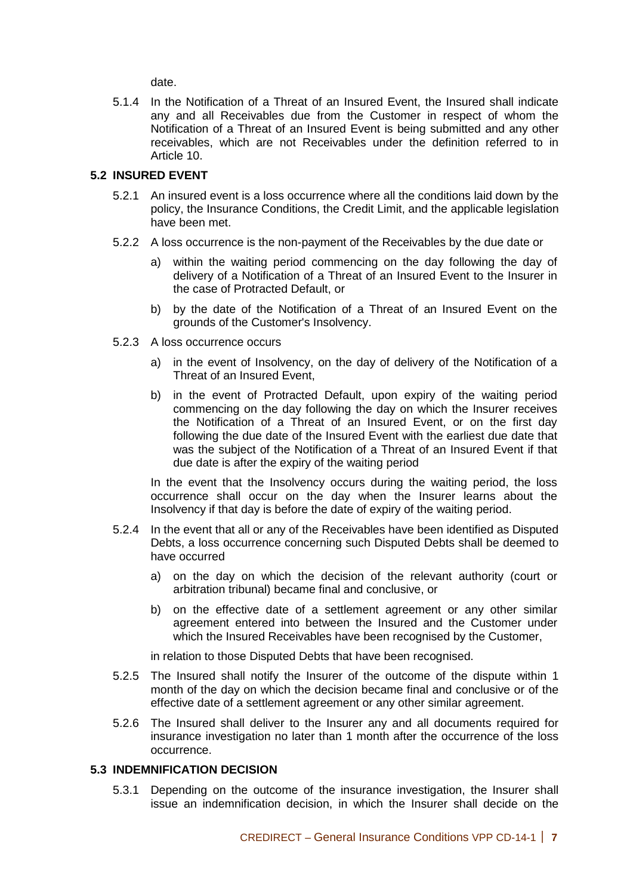date.

5.1.4 In the Notification of a Threat of an Insured Event, the Insured shall indicate any and all Receivables due from the Customer in respect of whom the Notification of a Threat of an Insured Event is being submitted and any other receivables, which are not Receivables under the definition referred to in Article 10.

#### **5.2 INSURED EVENT**

- 5.2.1 An insured event is a loss occurrence where all the conditions laid down by the policy, the Insurance Conditions, the Credit Limit, and the applicable legislation have been met.
- 5.2.2 A loss occurrence is the non-payment of the Receivables by the due date or
	- a) within the waiting period commencing on the day following the day of delivery of a Notification of a Threat of an Insured Event to the Insurer in the case of Protracted Default, or
	- b) by the date of the Notification of a Threat of an Insured Event on the grounds of the Customer's Insolvency.
- 5.2.3 A loss occurrence occurs
	- a) in the event of Insolvency, on the day of delivery of the Notification of a Threat of an Insured Event,
	- b) in the event of Protracted Default, upon expiry of the waiting period commencing on the day following the day on which the Insurer receives the Notification of a Threat of an Insured Event, or on the first day following the due date of the Insured Event with the earliest due date that was the subject of the Notification of a Threat of an Insured Event if that due date is after the expiry of the waiting period

In the event that the Insolvency occurs during the waiting period, the loss occurrence shall occur on the day when the Insurer learns about the Insolvency if that day is before the date of expiry of the waiting period.

- 5.2.4 In the event that all or any of the Receivables have been identified as Disputed Debts, a loss occurrence concerning such Disputed Debts shall be deemed to have occurred
	- a) on the day on which the decision of the relevant authority (court or arbitration tribunal) became final and conclusive, or
	- b) on the effective date of a settlement agreement or any other similar agreement entered into between the Insured and the Customer under which the Insured Receivables have been recognised by the Customer,

in relation to those Disputed Debts that have been recognised.

- 5.2.5 The Insured shall notify the Insurer of the outcome of the dispute within 1 month of the day on which the decision became final and conclusive or of the effective date of a settlement agreement or any other similar agreement.
- 5.2.6 The Insured shall deliver to the Insurer any and all documents required for insurance investigation no later than 1 month after the occurrence of the loss occurrence.

#### **5.3 INDEMNIFICATION DECISION**

5.3.1 Depending on the outcome of the insurance investigation, the Insurer shall issue an indemnification decision, in which the Insurer shall decide on the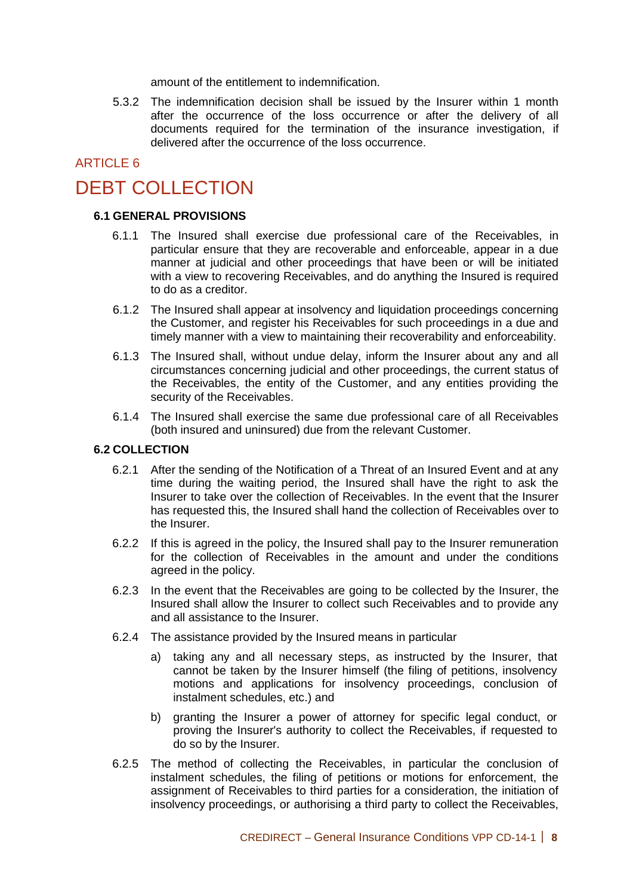amount of the entitlement to indemnification.

5.3.2 The indemnification decision shall be issued by the Insurer within 1 month after the occurrence of the loss occurrence or after the delivery of all documents required for the termination of the insurance investigation, if delivered after the occurrence of the loss occurrence.

### ARTICLE 6

## DEBT COLLECTION

#### **6.1 GENERAL PROVISIONS**

- 6.1.1 The Insured shall exercise due professional care of the Receivables, in particular ensure that they are recoverable and enforceable, appear in a due manner at judicial and other proceedings that have been or will be initiated with a view to recovering Receivables, and do anything the Insured is required to do as a creditor.
- 6.1.2 The Insured shall appear at insolvency and liquidation proceedings concerning the Customer, and register his Receivables for such proceedings in a due and timely manner with a view to maintaining their recoverability and enforceability.
- 6.1.3 The Insured shall, without undue delay, inform the Insurer about any and all circumstances concerning judicial and other proceedings, the current status of the Receivables, the entity of the Customer, and any entities providing the security of the Receivables.
- 6.1.4 The Insured shall exercise the same due professional care of all Receivables (both insured and uninsured) due from the relevant Customer.

#### **6.2 COLLECTION**

- 6.2.1 After the sending of the Notification of a Threat of an Insured Event and at any time during the waiting period, the Insured shall have the right to ask the Insurer to take over the collection of Receivables. In the event that the Insurer has requested this, the Insured shall hand the collection of Receivables over to the Insurer.
- 6.2.2 If this is agreed in the policy, the Insured shall pay to the Insurer remuneration for the collection of Receivables in the amount and under the conditions agreed in the policy.
- 6.2.3 In the event that the Receivables are going to be collected by the Insurer, the Insured shall allow the Insurer to collect such Receivables and to provide any and all assistance to the Insurer.
- 6.2.4 The assistance provided by the Insured means in particular
	- a) taking any and all necessary steps, as instructed by the Insurer, that cannot be taken by the Insurer himself (the filing of petitions, insolvency motions and applications for insolvency proceedings, conclusion of instalment schedules, etc.) and
	- b) granting the Insurer a power of attorney for specific legal conduct, or proving the Insurer's authority to collect the Receivables, if requested to do so by the Insurer.
- 6.2.5 The method of collecting the Receivables, in particular the conclusion of instalment schedules, the filing of petitions or motions for enforcement, the assignment of Receivables to third parties for a consideration, the initiation of insolvency proceedings, or authorising a third party to collect the Receivables,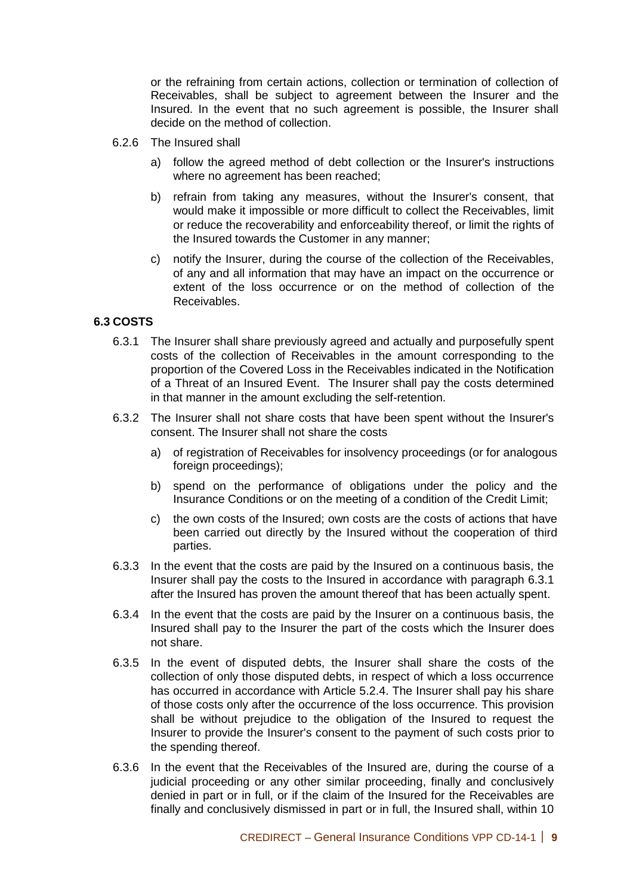or the refraining from certain actions, collection or termination of collection of Receivables, shall be subject to agreement between the Insurer and the Insured. In the event that no such agreement is possible, the Insurer shall decide on the method of collection.

- 6.2.6 The Insured shall
	- a) follow the agreed method of debt collection or the Insurer's instructions where no agreement has been reached;
	- b) refrain from taking any measures, without the Insurer's consent, that would make it impossible or more difficult to collect the Receivables, limit or reduce the recoverability and enforceability thereof, or limit the rights of the Insured towards the Customer in any manner;
	- c) notify the Insurer, during the course of the collection of the Receivables, of any and all information that may have an impact on the occurrence or extent of the loss occurrence or on the method of collection of the Receivables.

#### **6.3 COSTS**

- 6.3.1 The Insurer shall share previously agreed and actually and purposefully spent costs of the collection of Receivables in the amount corresponding to the proportion of the Covered Loss in the Receivables indicated in the Notification of a Threat of an Insured Event. The Insurer shall pay the costs determined in that manner in the amount excluding the self-retention.
- 6.3.2 The Insurer shall not share costs that have been spent without the Insurer's consent. The Insurer shall not share the costs
	- a) of registration of Receivables for insolvency proceedings (or for analogous foreign proceedings);
	- b) spend on the performance of obligations under the policy and the Insurance Conditions or on the meeting of a condition of the Credit Limit;
	- c) the own costs of the Insured; own costs are the costs of actions that have been carried out directly by the Insured without the cooperation of third parties.
- 6.3.3 In the event that the costs are paid by the Insured on a continuous basis, the Insurer shall pay the costs to the Insured in accordance with paragraph 6.3.1 after the Insured has proven the amount thereof that has been actually spent.
- 6.3.4 In the event that the costs are paid by the Insurer on a continuous basis, the Insured shall pay to the Insurer the part of the costs which the Insurer does not share.
- 6.3.5 In the event of disputed debts, the Insurer shall share the costs of the collection of only those disputed debts, in respect of which a loss occurrence has occurred in accordance with Article 5.2.4. The Insurer shall pay his share of those costs only after the occurrence of the loss occurrence. This provision shall be without prejudice to the obligation of the Insured to request the Insurer to provide the Insurer's consent to the payment of such costs prior to the spending thereof.
- 6.3.6 In the event that the Receivables of the Insured are, during the course of a judicial proceeding or any other similar proceeding, finally and conclusively denied in part or in full, or if the claim of the Insured for the Receivables are finally and conclusively dismissed in part or in full, the Insured shall, within 10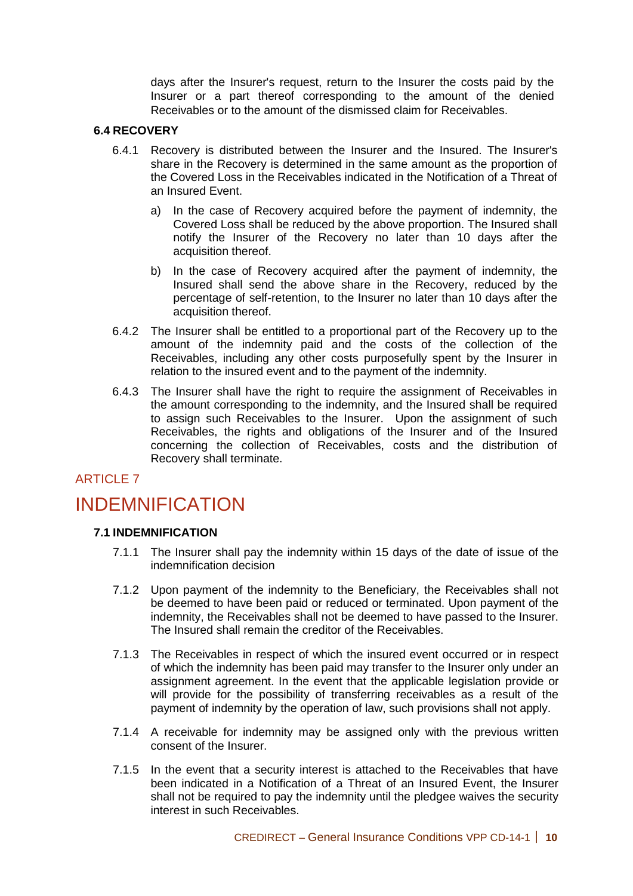days after the Insurer's request, return to the Insurer the costs paid by the Insurer or a part thereof corresponding to the amount of the denied Receivables or to the amount of the dismissed claim for Receivables.

#### **6.4 RECOVERY**

- 6.4.1 Recovery is distributed between the Insurer and the Insured. The Insurer's share in the Recovery is determined in the same amount as the proportion of the Covered Loss in the Receivables indicated in the Notification of a Threat of an Insured Event.
	- a) In the case of Recovery acquired before the payment of indemnity, the Covered Loss shall be reduced by the above proportion. The Insured shall notify the Insurer of the Recovery no later than 10 days after the acquisition thereof.
	- b) In the case of Recovery acquired after the payment of indemnity, the Insured shall send the above share in the Recovery, reduced by the percentage of self-retention, to the Insurer no later than 10 days after the acquisition thereof.
- 6.4.2 The Insurer shall be entitled to a proportional part of the Recovery up to the amount of the indemnity paid and the costs of the collection of the Receivables, including any other costs purposefully spent by the Insurer in relation to the insured event and to the payment of the indemnity.
- 6.4.3 The Insurer shall have the right to require the assignment of Receivables in the amount corresponding to the indemnity, and the Insured shall be required to assign such Receivables to the Insurer. Upon the assignment of such Receivables, the rights and obligations of the Insurer and of the Insured concerning the collection of Receivables, costs and the distribution of Recovery shall terminate.

#### ARTICLE 7

## INDEMNIFICATION

#### **7.1 INDEMNIFICATION**

- 7.1.1 The Insurer shall pay the indemnity within 15 days of the date of issue of the indemnification decision
- 7.1.2 Upon payment of the indemnity to the Beneficiary, the Receivables shall not be deemed to have been paid or reduced or terminated. Upon payment of the indemnity, the Receivables shall not be deemed to have passed to the Insurer. The Insured shall remain the creditor of the Receivables.
- 7.1.3 The Receivables in respect of which the insured event occurred or in respect of which the indemnity has been paid may transfer to the Insurer only under an assignment agreement. In the event that the applicable legislation provide or will provide for the possibility of transferring receivables as a result of the payment of indemnity by the operation of law, such provisions shall not apply.
- 7.1.4 A receivable for indemnity may be assigned only with the previous written consent of the Insurer.
- 7.1.5 In the event that a security interest is attached to the Receivables that have been indicated in a Notification of a Threat of an Insured Event, the Insurer shall not be required to pay the indemnity until the pledgee waives the security interest in such Receivables.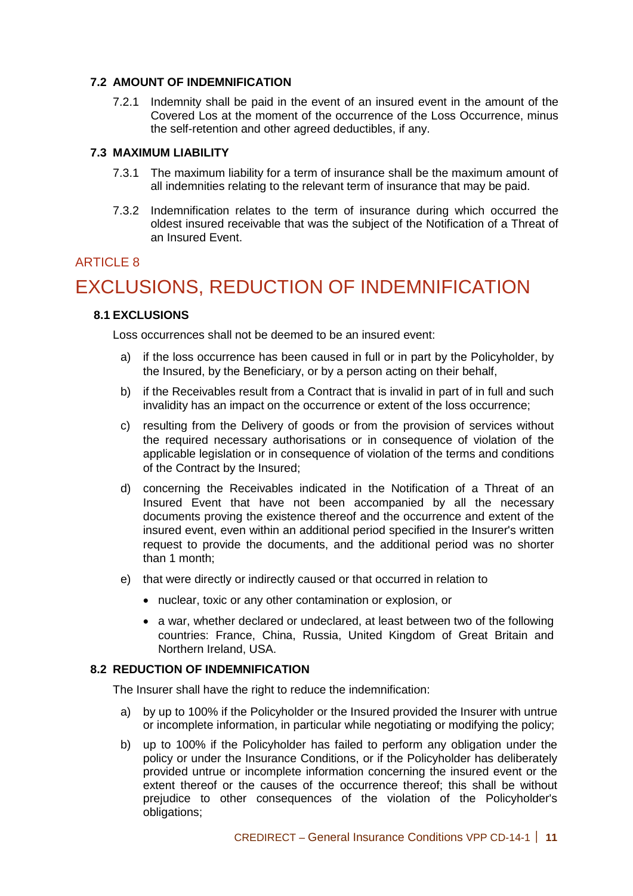#### **7.2 AMOUNT OF INDEMNIFICATION**

7.2.1 Indemnity shall be paid in the event of an insured event in the amount of the Covered Los at the moment of the occurrence of the Loss Occurrence, minus the self-retention and other agreed deductibles, if any.

#### **7.3 MAXIMUM LIABILITY**

- 7.3.1 The maximum liability for a term of insurance shall be the maximum amount of all indemnities relating to the relevant term of insurance that may be paid.
- 7.3.2 Indemnification relates to the term of insurance during which occurred the oldest insured receivable that was the subject of the Notification of a Threat of an Insured Event.

#### ARTICLE 8

## EXCLUSIONS, REDUCTION OF INDEMNIFICATION

#### **8.1 EXCLUSIONS**

Loss occurrences shall not be deemed to be an insured event:

- a) if the loss occurrence has been caused in full or in part by the Policyholder, by the Insured, by the Beneficiary, or by a person acting on their behalf,
- b) if the Receivables result from a Contract that is invalid in part of in full and such invalidity has an impact on the occurrence or extent of the loss occurrence;
- c) resulting from the Delivery of goods or from the provision of services without the required necessary authorisations or in consequence of violation of the applicable legislation or in consequence of violation of the terms and conditions of the Contract by the Insured;
- d) concerning the Receivables indicated in the Notification of a Threat of an Insured Event that have not been accompanied by all the necessary documents proving the existence thereof and the occurrence and extent of the insured event, even within an additional period specified in the Insurer's written request to provide the documents, and the additional period was no shorter than 1 month;
- e) that were directly or indirectly caused or that occurred in relation to
	- nuclear, toxic or any other contamination or explosion, or
	- a war, whether declared or undeclared, at least between two of the following countries: France, China, Russia, United Kingdom of Great Britain and Northern Ireland, USA.

#### **8.2 REDUCTION OF INDEMNIFICATION**

The Insurer shall have the right to reduce the indemnification:

- a) by up to 100% if the Policyholder or the Insured provided the Insurer with untrue or incomplete information, in particular while negotiating or modifying the policy;
- b) up to 100% if the Policyholder has failed to perform any obligation under the policy or under the Insurance Conditions, or if the Policyholder has deliberately provided untrue or incomplete information concerning the insured event or the extent thereof or the causes of the occurrence thereof; this shall be without prejudice to other consequences of the violation of the Policyholder's obligations;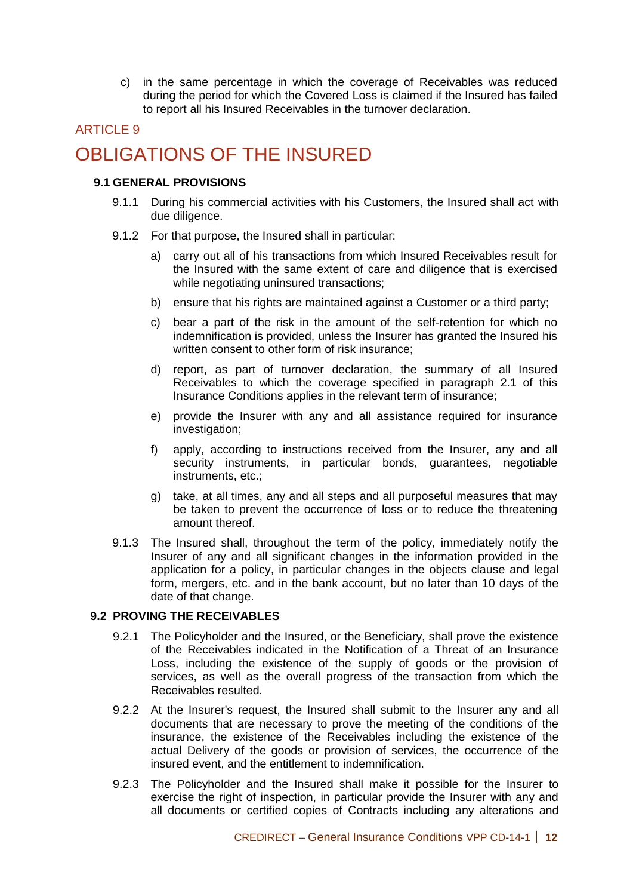c) in the same percentage in which the coverage of Receivables was reduced during the period for which the Covered Loss is claimed if the Insured has failed to report all his Insured Receivables in the turnover declaration.

## ARTICLE 9 OBLIGATIONS OF THE INSURED

#### **9.1 GENERAL PROVISIONS**

- 9.1.1 During his commercial activities with his Customers, the Insured shall act with due diligence.
- 9.1.2 For that purpose, the Insured shall in particular:
	- a) carry out all of his transactions from which Insured Receivables result for the Insured with the same extent of care and diligence that is exercised while negotiating uninsured transactions;
	- b) ensure that his rights are maintained against a Customer or a third party;
	- c) bear a part of the risk in the amount of the self-retention for which no indemnification is provided, unless the Insurer has granted the Insured his written consent to other form of risk insurance;
	- d) report, as part of turnover declaration, the summary of all Insured Receivables to which the coverage specified in paragraph 2.1 of this Insurance Conditions applies in the relevant term of insurance;
	- e) provide the Insurer with any and all assistance required for insurance investigation:
	- f) apply, according to instructions received from the Insurer, any and all security instruments, in particular bonds, quarantees, negotiable instruments, etc.;
	- g) take, at all times, any and all steps and all purposeful measures that may be taken to prevent the occurrence of loss or to reduce the threatening amount thereof.
- 9.1.3 The Insured shall, throughout the term of the policy, immediately notify the Insurer of any and all significant changes in the information provided in the application for a policy, in particular changes in the objects clause and legal form, mergers, etc. and in the bank account, but no later than 10 days of the date of that change.

#### **9.2 PROVING THE RECEIVABLES**

- 9.2.1 The Policyholder and the Insured, or the Beneficiary, shall prove the existence of the Receivables indicated in the Notification of a Threat of an Insurance Loss, including the existence of the supply of goods or the provision of services, as well as the overall progress of the transaction from which the Receivables resulted.
- 9.2.2 At the Insurer's request, the Insured shall submit to the Insurer any and all documents that are necessary to prove the meeting of the conditions of the insurance, the existence of the Receivables including the existence of the actual Delivery of the goods or provision of services, the occurrence of the insured event, and the entitlement to indemnification.
- 9.2.3 The Policyholder and the Insured shall make it possible for the Insurer to exercise the right of inspection, in particular provide the Insurer with any and all documents or certified copies of Contracts including any alterations and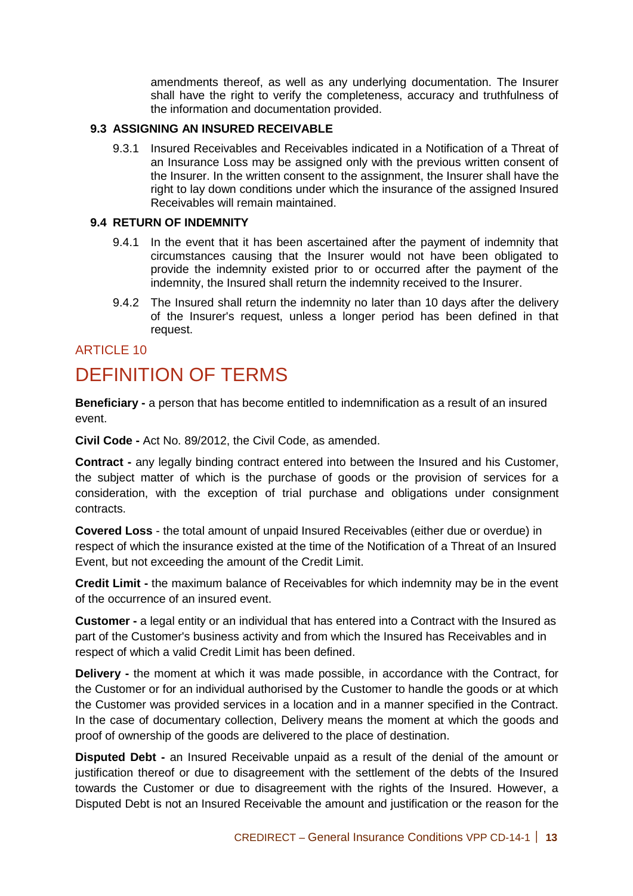amendments thereof, as well as any underlying documentation. The Insurer shall have the right to verify the completeness, accuracy and truthfulness of the information and documentation provided.

#### **9.3 ASSIGNING AN INSURED RECEIVABLE**

9.3.1 Insured Receivables and Receivables indicated in a Notification of a Threat of an Insurance Loss may be assigned only with the previous written consent of the Insurer. In the written consent to the assignment, the Insurer shall have the right to lay down conditions under which the insurance of the assigned Insured Receivables will remain maintained.

#### **9.4 RETURN OF INDEMNITY**

- 9.4.1 In the event that it has been ascertained after the payment of indemnity that circumstances causing that the Insurer would not have been obligated to provide the indemnity existed prior to or occurred after the payment of the indemnity, the Insured shall return the indemnity received to the Insurer.
- 9.4.2 The Insured shall return the indemnity no later than 10 days after the delivery of the Insurer's request, unless a longer period has been defined in that request.

#### **ARTICLE 10**

## DEFINITION OF TERMS

**Beneficiary -** a person that has become entitled to indemnification as a result of an insured event.

**Civil Code -** Act No. 89/2012, the Civil Code, as amended.

**Contract -** any legally binding contract entered into between the Insured and his Customer, the subject matter of which is the purchase of goods or the provision of services for a consideration, with the exception of trial purchase and obligations under consignment contracts.

**Covered Loss** - the total amount of unpaid Insured Receivables (either due or overdue) in respect of which the insurance existed at the time of the Notification of a Threat of an Insured Event, but not exceeding the amount of the Credit Limit.

**Credit Limit -** the maximum balance of Receivables for which indemnity may be in the event of the occurrence of an insured event.

**Customer -** a legal entity or an individual that has entered into a Contract with the Insured as part of the Customer's business activity and from which the Insured has Receivables and in respect of which a valid Credit Limit has been defined.

**Delivery -** the moment at which it was made possible, in accordance with the Contract, for the Customer or for an individual authorised by the Customer to handle the goods or at which the Customer was provided services in a location and in a manner specified in the Contract. In the case of documentary collection, Delivery means the moment at which the goods and proof of ownership of the goods are delivered to the place of destination.

**Disputed Debt -** an Insured Receivable unpaid as a result of the denial of the amount or justification thereof or due to disagreement with the settlement of the debts of the Insured towards the Customer or due to disagreement with the rights of the Insured. However, a Disputed Debt is not an Insured Receivable the amount and justification or the reason for the